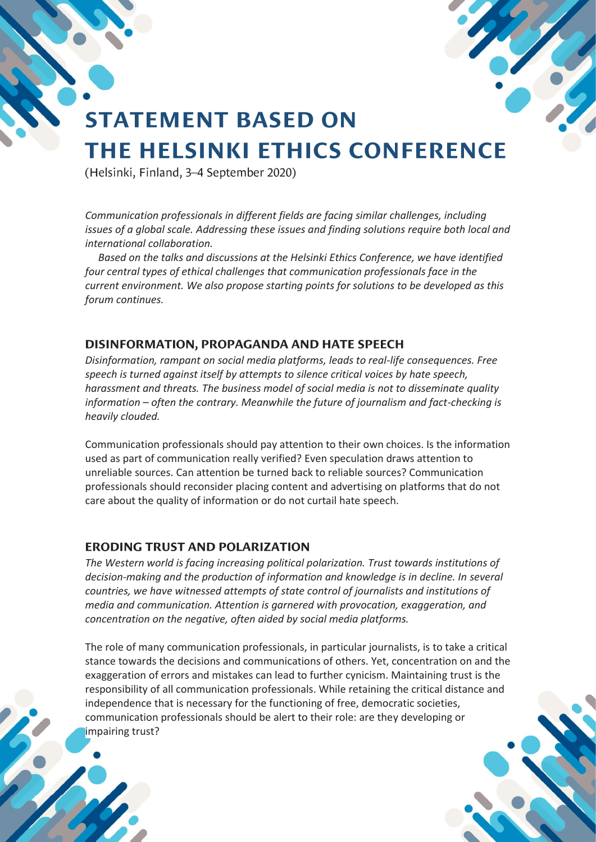# **STATEMENT BASED ON THE HELSINKI ETHICS CONFERENCE**

(Helsinki, Finland, 3-4 September 2020)

*Communication professionals in different fields are facing similar challenges, including issues of a global scale. Addressing these issues and finding solutions require both local and international collaboration.*

 *Based on the talks and discussions at the Helsinki Ethics Conference, we have identified four central types of ethical challenges that communication professionals face in the current environment. We also propose starting points for solutions to be developed as this forum continues.*

#### DISINFORMATION, PROPAGANDA AND HATE SPEECH

*Disinformation, rampant on social media platforms, leads to real-life consequences. Free speech is turned against itself by attempts to silence critical voices by hate speech, harassment and threats. The business model of social media is not to disseminate quality information – often the contrary. Meanwhile the future of journalism and fact-checking is heavily clouded.*

Communication professionals should pay attention to their own choices. Is the information used as part of communication really verified? Even speculation draws attention to unreliable sources. Can attention be turned back to reliable sources? Communication professionals should reconsider placing content and advertising on platforms that do not care about the quality of information or do not curtail hate speech.

#### **ERODING TRUST AND POLARIZATION**

*The Western world is facing increasing political polarization. Trust towards institutions of decision-making and the production of information and knowledge is in decline. In several countries, we have witnessed attempts of state control of journalists and institutions of media and communication. Attention is garnered with provocation, exaggeration, and concentration on the negative, often aided by social media platforms.*

The role of many communication professionals, in particular journalists, is to take a critical stance towards the decisions and communications of others. Yet, concentration on and the exaggeration of errors and mistakes can lead to further cynicism. Maintaining trust is the responsibility of all communication professionals. While retaining the critical distance and independence that is necessary for the functioning of free, democratic societies, communication professionals should be alert to their role: are they developing or impairing trust?